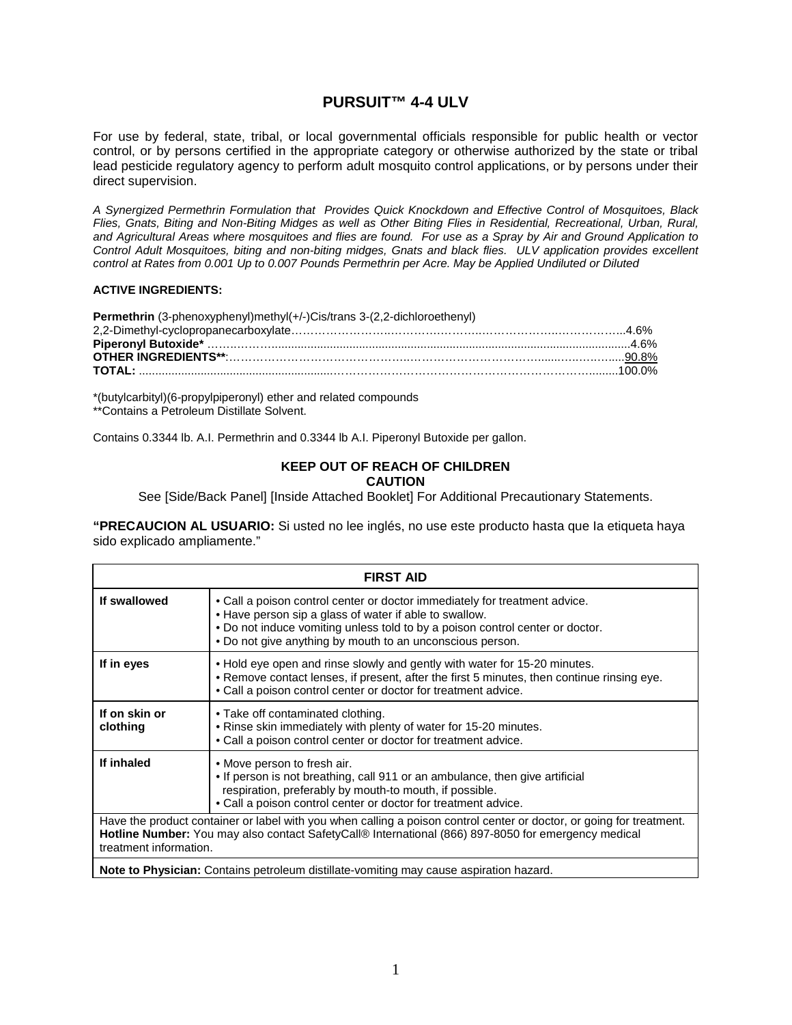# **PURSUIT™ 4-4 ULV**

For use by federal, state, tribal, or local governmental officials responsible for public health or vector control, or by persons certified in the appropriate category or otherwise authorized by the state or tribal lead pesticide regulatory agency to perform adult mosquito control applications, or by persons under their direct supervision.

*A Synergized Permethrin Formulation that Provides Quick Knockdown and Effective Control of Mosquitoes, Black Flies, Gnats, Biting and Non-Biting Midges as well as Other Biting Flies in Residential, Recreational, Urban, Rural, and Agricultural Areas where mosquitoes and flies are found. For use as a Spray by Air and Ground Application to Control Adult Mosquitoes, biting and non-biting midges, Gnats and black flies. ULV application provides excellent control at Rates from 0.001 Up to 0.007 Pounds Permethrin per Acre. May be Applied Undiluted or Diluted*

#### **ACTIVE INGREDIENTS:**

| Permethrin (3-phenoxyphenyl)methyl(+/-)Cis/trans 3-(2,2-dichloroethenyl) |  |
|--------------------------------------------------------------------------|--|
|                                                                          |  |
|                                                                          |  |
|                                                                          |  |
|                                                                          |  |

\*(butylcarbityl)(6-propylpiperonyl) ether and related compounds \*\*Contains a Petroleum Distillate Solvent.

Contains 0.3344 lb. A.I. Permethrin and 0.3344 lb A.I. Piperonyl Butoxide per gallon.

#### **KEEP OUT OF REACH OF CHILDREN CAUTION**

See [Side/Back Panel] [Inside Attached Booklet] For Additional Precautionary Statements.

**"PRECAUCION AL USUARIO:** Si usted no lee inglés, no use este producto hasta que Ia etiqueta haya sido explicado ampliamente."

| <b>FIRST AID</b>                                                                                                                                                                                                                                     |                                                                                                                                                                                                                                                                                    |  |  |  |  |
|------------------------------------------------------------------------------------------------------------------------------------------------------------------------------------------------------------------------------------------------------|------------------------------------------------------------------------------------------------------------------------------------------------------------------------------------------------------------------------------------------------------------------------------------|--|--|--|--|
| If swallowed                                                                                                                                                                                                                                         | • Call a poison control center or doctor immediately for treatment advice.<br>• Have person sip a glass of water if able to swallow.<br>. Do not induce vomiting unless told to by a poison control center or doctor.<br>. Do not give anything by mouth to an unconscious person. |  |  |  |  |
| If in eyes                                                                                                                                                                                                                                           | . Hold eye open and rinse slowly and gently with water for 15-20 minutes.<br>. Remove contact lenses, if present, after the first 5 minutes, then continue rinsing eye.<br>. Call a poison control center or doctor for treatment advice.                                          |  |  |  |  |
| If on skin or<br>clothing                                                                                                                                                                                                                            | • Take off contaminated clothing.<br>. Rinse skin immediately with plenty of water for 15-20 minutes.<br>• Call a poison control center or doctor for treatment advice.                                                                                                            |  |  |  |  |
| If inhaled                                                                                                                                                                                                                                           | • Move person to fresh air.<br>. If person is not breathing, call 911 or an ambulance, then give artificial<br>respiration, preferably by mouth-to mouth, if possible.<br>• Call a poison control center or doctor for treatment advice.                                           |  |  |  |  |
| Have the product container or label with you when calling a poison control center or doctor, or going for treatment.<br>Hotline Number: You may also contact SafetyCal® International (866) 897-8050 for emergency medical<br>treatment information. |                                                                                                                                                                                                                                                                                    |  |  |  |  |
| <b>Note to Physician:</b> Contains petroleum distillate-vomiting may cause aspiration hazard.                                                                                                                                                        |                                                                                                                                                                                                                                                                                    |  |  |  |  |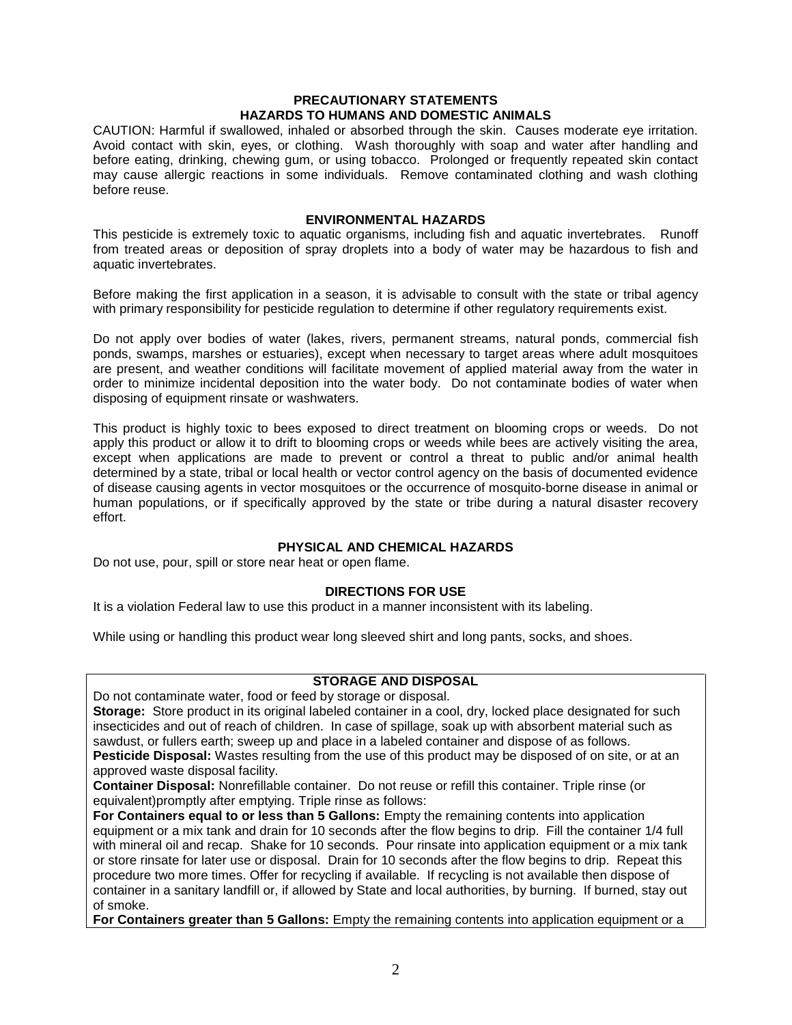# **PRECAUTIONARY STATEMENTS HAZARDS TO HUMANS AND DOMESTIC ANIMALS**

CAUTION: Harmful if swallowed, inhaled or absorbed through the skin. Causes moderate eye irritation. Avoid contact with skin, eyes, or clothing. Wash thoroughly with soap and water after handling and before eating, drinking, chewing gum, or using tobacco. Prolonged or frequently repeated skin contact may cause allergic reactions in some individuals. Remove contaminated clothing and wash clothing before reuse.

#### **ENVIRONMENTAL HAZARDS**

This pesticide is extremely toxic to aquatic organisms, including fish and aquatic invertebrates. Runoff from treated areas or deposition of spray droplets into a body of water may be hazardous to fish and aquatic invertebrates.

Before making the first application in a season, it is advisable to consult with the state or tribal agency with primary responsibility for pesticide regulation to determine if other regulatory requirements exist.

Do not apply over bodies of water (lakes, rivers, permanent streams, natural ponds, commercial fish ponds, swamps, marshes or estuaries), except when necessary to target areas where adult mosquitoes are present, and weather conditions will facilitate movement of applied material away from the water in order to minimize incidental deposition into the water body. Do not contaminate bodies of water when disposing of equipment rinsate or washwaters.

This product is highly toxic to bees exposed to direct treatment on blooming crops or weeds. Do not apply this product or allow it to drift to blooming crops or weeds while bees are actively visiting the area, except when applications are made to prevent or control a threat to public and/or animal health determined by a state, tribal or local health or vector control agency on the basis of documented evidence of disease causing agents in vector mosquitoes or the occurrence of mosquito-borne disease in animal or human populations, or if specifically approved by the state or tribe during a natural disaster recovery effort.

# **PHYSICAL AND CHEMICAL HAZARDS**

Do not use, pour, spill or store near heat or open flame.

# **DIRECTIONS FOR USE**

It is a violation Federal law to use this product in a manner inconsistent with its labeling.

While using or handling this product wear long sleeved shirt and long pants, socks, and shoes.

#### **STORAGE AND DISPOSAL**

Do not contaminate water, food or feed by storage or disposal.

**Storage:** Store product in its original labeled container in a cool, dry, locked place designated for such insecticides and out of reach of children. In case of spillage, soak up with absorbent material such as sawdust, or fullers earth; sweep up and place in a labeled container and dispose of as follows. **Pesticide Disposal:** Wastes resulting from the use of this product may be disposed of on site, or at an approved waste disposal facility.

**Container Disposal:** Nonrefillable container. Do not reuse or refill this container. Triple rinse (or equivalent)promptly after emptying. Triple rinse as follows:

**For Containers equal to or less than 5 Gallons:** Empty the remaining contents into application equipment or a mix tank and drain for 10 seconds after the flow begins to drip. Fill the container 1/4 full with mineral oil and recap. Shake for 10 seconds. Pour rinsate into application equipment or a mix tank or store rinsate for later use or disposal. Drain for 10 seconds after the flow begins to drip. Repeat this procedure two more times. Offer for recycling if available. If recycling is not available then dispose of container in a sanitary landfill or, if allowed by State and local authorities, by burning. If burned, stay out of smoke.

**For Containers greater than 5 Gallons:** Empty the remaining contents into application equipment or a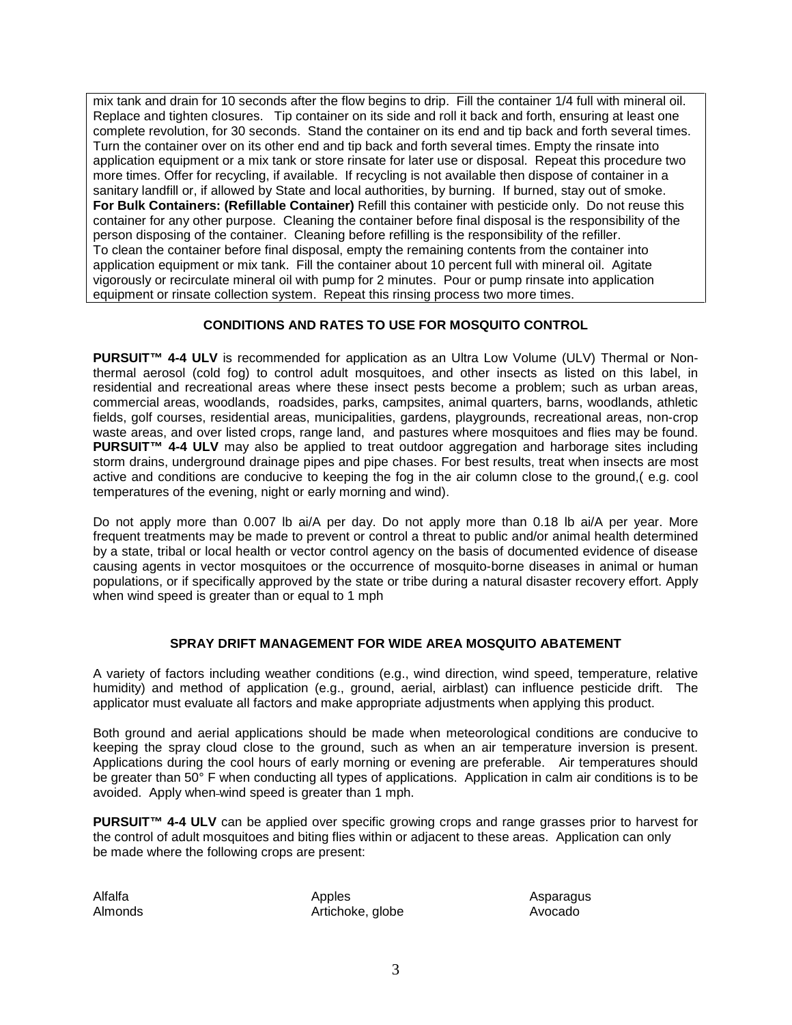mix tank and drain for 10 seconds after the flow begins to drip. Fill the container 1/4 full with mineral oil. Replace and tighten closures. Tip container on its side and roll it back and forth, ensuring at least one complete revolution, for 30 seconds. Stand the container on its end and tip back and forth several times. Turn the container over on its other end and tip back and forth several times. Empty the rinsate into application equipment or a mix tank or store rinsate for later use or disposal. Repeat this procedure two more times. Offer for recycling, if available. If recycling is not available then dispose of container in a sanitary landfill or, if allowed by State and local authorities, by burning. If burned, stay out of smoke. **For Bulk Containers: (Refillable Container)** Refill this container with pesticide only. Do not reuse this container for any other purpose. Cleaning the container before final disposal is the responsibility of the person disposing of the container. Cleaning before refilling is the responsibility of the refiller. To clean the container before final disposal, empty the remaining contents from the container into application equipment or mix tank. Fill the container about 10 percent full with mineral oil. Agitate vigorously or recirculate mineral oil with pump for 2 minutes. Pour or pump rinsate into application equipment or rinsate collection system. Repeat this rinsing process two more times.

# **CONDITIONS AND RATES TO USE FOR MOSQUITO CONTROL**

**PURSUIT™ 4-4 ULV** is recommended for application as an Ultra Low Volume (ULV) Thermal or Nonthermal aerosol (cold fog) to control adult mosquitoes, and other insects as listed on this label, in residential and recreational areas where these insect pests become a problem; such as urban areas, commercial areas, woodlands, roadsides, parks, campsites, animal quarters, barns, woodlands, athletic fields, golf courses, residential areas, municipalities, gardens, playgrounds, recreational areas, non-crop waste areas, and over listed crops, range land, and pastures where mosquitoes and flies may be found. **PURSUIT™ 4-4 ULV** may also be applied to treat outdoor aggregation and harborage sites including storm drains, underground drainage pipes and pipe chases. For best results, treat when insects are most active and conditions are conducive to keeping the fog in the air column close to the ground,( e.g. cool temperatures of the evening, night or early morning and wind).

Do not apply more than 0.007 lb ai/A per day. Do not apply more than 0.18 lb ai/A per year. More frequent treatments may be made to prevent or control a threat to public and/or animal health determined by a state, tribal or local health or vector control agency on the basis of documented evidence of disease causing agents in vector mosquitoes or the occurrence of mosquito-borne diseases in animal or human populations, or if specifically approved by the state or tribe during a natural disaster recovery effort. Apply when wind speed is greater than or equal to 1 mph

# **SPRAY DRIFT MANAGEMENT FOR WIDE AREA MOSQUITO ABATEMENT**

A variety of factors including weather conditions (e.g., wind direction, wind speed, temperature, relative humidity) and method of application (e.g., ground, aerial, airblast) can influence pesticide drift. The applicator must evaluate all factors and make appropriate adjustments when applying this product.

Both ground and aerial applications should be made when meteorological conditions are conducive to keeping the spray cloud close to the ground, such as when an air temperature inversion is present. Applications during the cool hours of early morning or evening are preferable. Air temperatures should be greater than 50° F when conducting all types of applications. Application in calm air conditions is to be avoided. Apply when wind speed is greater than 1 mph.

**PURSUIT™ 4-4 ULV** can be applied over specific growing crops and range grasses prior to harvest for the control of adult mosquitoes and biting flies within or adjacent to these areas. Application can only be made where the following crops are present:

Alfalfa Almonds Apples Artichoke, globe Asparagus Avocado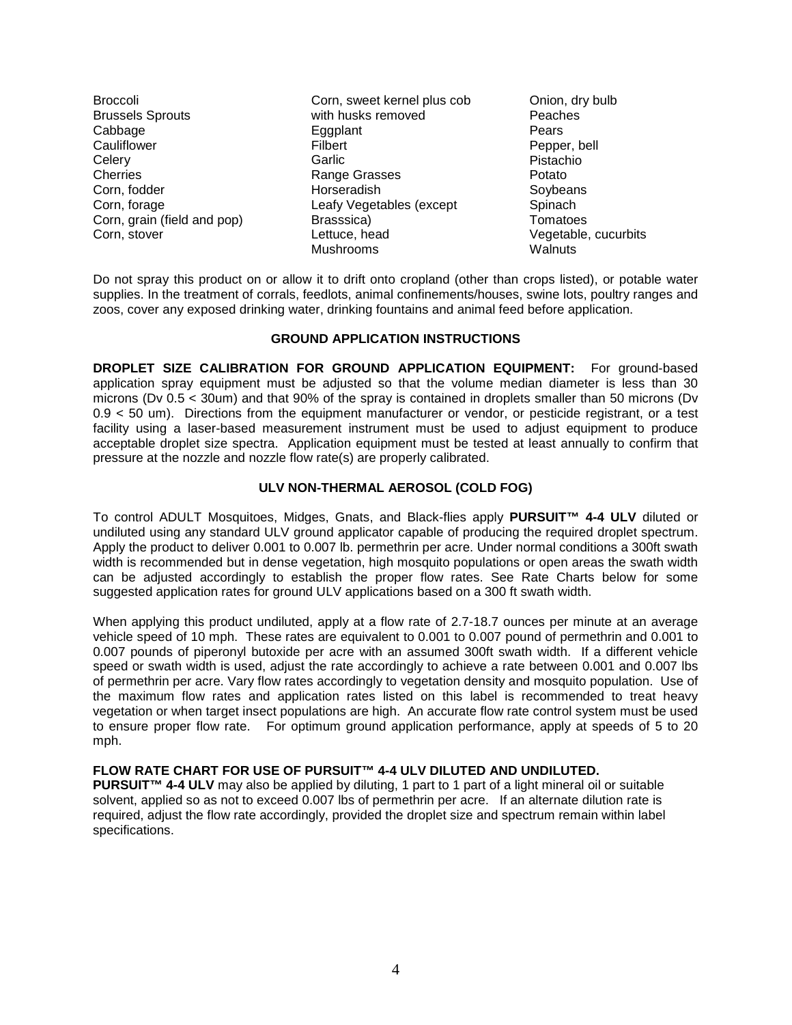**Broccoli** Brussels Sprouts **Cabbage Cauliflower Celery** Cherries Corn, fodder Corn, forage Corn, grain (field and pop) Corn, stover

Corn, sweet kernel plus cob with husks removed Eggplant Filbert Garlic Range Grasses Horseradish Leafy Vegetables (except Brasssica) Lettuce, head Mushrooms

Onion, dry bulb Peaches Pears Pepper, bell Pistachio Potato **Soybeans Spinach** Tomatoes Vegetable, cucurbits **Walnuts** 

Do not spray this product on or allow it to drift onto cropland (other than crops listed), or potable water supplies. In the treatment of corrals, feedlots, animal confinements/houses, swine lots, poultry ranges and zoos, cover any exposed drinking water, drinking fountains and animal feed before application.

## **GROUND APPLICATION INSTRUCTIONS**

**DROPLET SIZE CALIBRATION FOR GROUND APPLICATION EQUIPMENT:** For ground-based application spray equipment must be adjusted so that the volume median diameter is less than 30 microns (Dv 0.5 < 30um) and that 90% of the spray is contained in droplets smaller than 50 microns (Dv 0.9 < 50 um). Directions from the equipment manufacturer or vendor, or pesticide registrant, or a test facility using a laser-based measurement instrument must be used to adjust equipment to produce acceptable droplet size spectra. Application equipment must be tested at least annually to confirm that pressure at the nozzle and nozzle flow rate(s) are properly calibrated.

# **ULV NON-THERMAL AEROSOL (COLD FOG)**

To control ADULT Mosquitoes, Midges, Gnats, and Black-flies apply **PURSUIT™ 4-4 ULV** diluted or undiluted using any standard ULV ground applicator capable of producing the required droplet spectrum. Apply the product to deliver 0.001 to 0.007 lb. permethrin per acre. Under normal conditions a 300ft swath width is recommended but in dense vegetation, high mosquito populations or open areas the swath width can be adjusted accordingly to establish the proper flow rates. See Rate Charts below for some suggested application rates for ground ULV applications based on a 300 ft swath width.

When applying this product undiluted, apply at a flow rate of 2.7-18.7 ounces per minute at an average vehicle speed of 10 mph. These rates are equivalent to 0.001 to 0.007 pound of permethrin and 0.001 to 0.007 pounds of piperonyl butoxide per acre with an assumed 300ft swath width. If a different vehicle speed or swath width is used, adjust the rate accordingly to achieve a rate between 0.001 and 0.007 lbs of permethrin per acre. Vary flow rates accordingly to vegetation density and mosquito population. Use of the maximum flow rates and application rates listed on this label is recommended to treat heavy vegetation or when target insect populations are high. An accurate flow rate control system must be used to ensure proper flow rate. For optimum ground application performance, apply at speeds of 5 to 20 mph.

# **FLOW RATE CHART FOR USE OF PURSUIT™ 4-4 ULV DILUTED AND UNDILUTED.**

**PURSUIT™ 4-4 ULV** may also be applied by diluting, 1 part to 1 part of a light mineral oil or suitable solvent, applied so as not to exceed 0.007 lbs of permethrin per acre. If an alternate dilution rate is required, adjust the flow rate accordingly, provided the droplet size and spectrum remain within label specifications.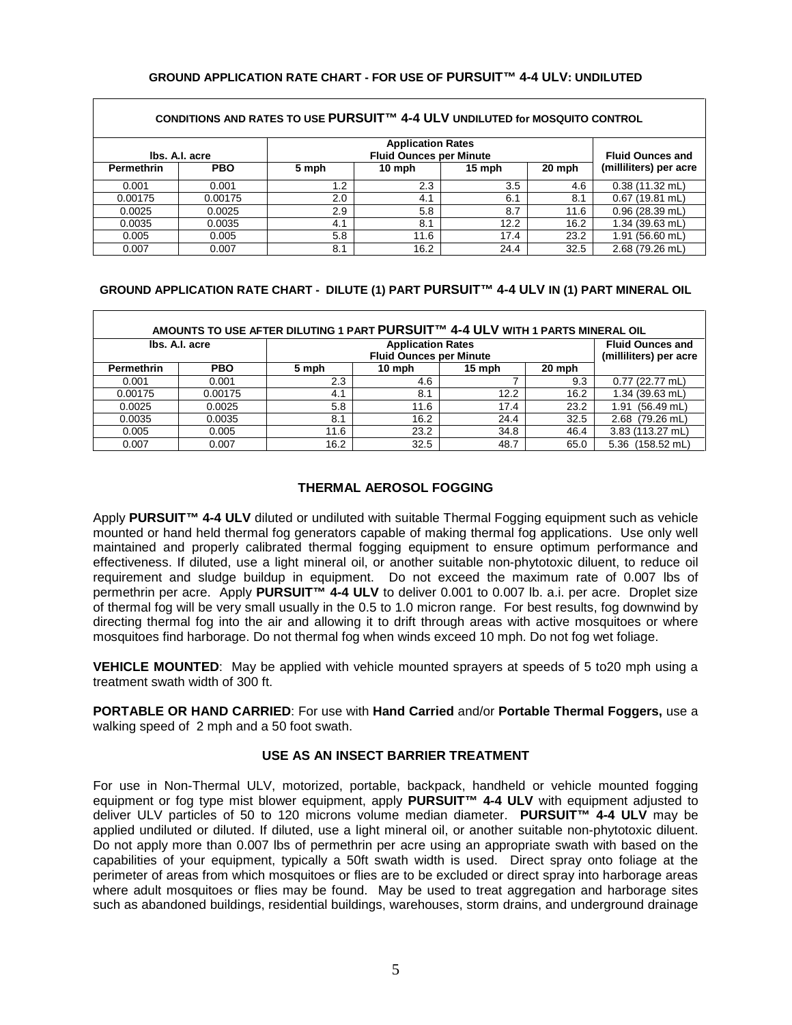#### **GROUND APPLICATION RATE CHART - FOR USE OF PURSUIT™ 4-4 ULV: UNDILUTED**

| CONDITIONS AND RATES TO USE PURSUIT™ 4-4 ULV UNDILUTED for MOSQUITO CONTROL  |            |       |                         |        |        |                          |  |
|------------------------------------------------------------------------------|------------|-------|-------------------------|--------|--------|--------------------------|--|
| <b>Application Rates</b><br><b>Fluid Ounces per Minute</b><br>Ibs. A.I. acre |            |       | <b>Fluid Ounces and</b> |        |        |                          |  |
| <b>Permethrin</b>                                                            | <b>PBO</b> | 5 mph | 10 mph                  | 15 mph | 20 mph | (milliliters) per acre   |  |
| 0.001                                                                        | 0.001      | 1.2   | 2.3                     | 3.5    | 4.6    | $0.38(11.32 \text{ mL})$ |  |
| 0.00175                                                                      | 0.00175    | 2.0   | 4.1                     | 6.1    | 8.1    | $0.67$ (19.81 mL)        |  |
| 0.0025                                                                       | 0.0025     | 2.9   | 5.8                     | 8.7    | 11.6   | $0.96$ (28.39 mL)        |  |
| 0.0035                                                                       | 0.0035     | 4.1   | 8.1                     | 12.2   | 16.2   | 1.34 (39.63 mL)          |  |
| 0.005                                                                        | 0.005      | 5.8   | 11.6                    | 17.4   | 23.2   | 1.91 (56.60 mL)          |  |
| 0.007                                                                        | 0.007      | 8.1   | 16.2                    | 24.4   | 32.5   | 2.68 (79.26 mL)          |  |

#### **GROUND APPLICATION RATE CHART - DILUTE (1) PART PURSUIT™ 4-4 ULV IN (1) PART MINERAL OIL**

| AMOUNTS TO USE AFTER DILUTING 1 PART PURSUIT™ 4-4 ULV WITH 1 PARTS MINERAL OIL |            |       |                                                   |        |        |                      |  |
|--------------------------------------------------------------------------------|------------|-------|---------------------------------------------------|--------|--------|----------------------|--|
| <b>Application Rates</b><br>Ibs. A.I. acre<br><b>Fluid Ounces per Minute</b>   |            |       | <b>Fluid Ounces and</b><br>(milliliters) per acre |        |        |                      |  |
| Permethrin                                                                     | <b>PBO</b> | 5 mph | 10 mph                                            | 15 mph | 20 mph |                      |  |
| 0.001                                                                          | 0.001      | 2.3   | 4.6                                               |        | 9.3    | $0.77(22.77$ mL)     |  |
| 0.00175                                                                        | 0.00175    | 4.1   | 8.1                                               | 12.2   | 16.2   | 1.34 (39.63 mL)      |  |
| 0.0025                                                                         | 0.0025     | 5.8   | 11.6                                              | 17.4   | 23.2   | $(56.49$ mL)<br>1.91 |  |
| 0.0035                                                                         | 0.0035     | 8.1   | 16.2                                              | 24.4   | 32.5   | 2.68 (79.26 mL)      |  |
| 0.005                                                                          | 0.005      | 11.6  | 23.2                                              | 34.8   | 46.4   | 3.83 (113.27 mL)     |  |
| 0.007                                                                          | 0.007      | 16.2  | 32.5                                              | 48.7   | 65.0   | 5.36 (158.52 mL)     |  |

# **THERMAL AEROSOL FOGGING**

Apply **PURSUIT™ 4-4 ULV** diluted or undiluted with suitable Thermal Fogging equipment such as vehicle mounted or hand held thermal fog generators capable of making thermal fog applications. Use only well maintained and properly calibrated thermal fogging equipment to ensure optimum performance and effectiveness. If diluted, use a light mineral oil, or another suitable non-phytotoxic diluent, to reduce oil requirement and sludge buildup in equipment. Do not exceed the maximum rate of 0.007 lbs of permethrin per acre. Apply **PURSUIT™ 4-4 ULV** to deliver 0.001 to 0.007 lb. a.i. per acre. Droplet size of thermal fog will be very small usually in the 0.5 to 1.0 micron range. For best results, fog downwind by directing thermal fog into the air and allowing it to drift through areas with active mosquitoes or where mosquitoes find harborage. Do not thermal fog when winds exceed 10 mph. Do not fog wet foliage.

**VEHICLE MOUNTED:** May be applied with vehicle mounted sprayers at speeds of 5 to20 mph using a treatment swath width of 300 ft.

**PORTABLE OR HAND CARRIED**: For use with **Hand Carried** and/or **Portable Thermal Foggers,** use a walking speed of 2 mph and a 50 foot swath.

## **USE AS AN INSECT BARRIER TREATMENT**

For use in Non-Thermal ULV, motorized, portable, backpack, handheld or vehicle mounted fogging equipment or fog type mist blower equipment, apply **PURSUIT™ 4-4 ULV** with equipment adjusted to deliver ULV particles of 50 to 120 microns volume median diameter. **PURSUIT™ 4-4 ULV** may be applied undiluted or diluted. If diluted, use a light mineral oil, or another suitable non-phytotoxic diluent. Do not apply more than 0.007 lbs of permethrin per acre using an appropriate swath with based on the capabilities of your equipment, typically a 50ft swath width is used. Direct spray onto foliage at the perimeter of areas from which mosquitoes or flies are to be excluded or direct spray into harborage areas where adult mosquitoes or flies may be found. May be used to treat aggregation and harborage sites such as abandoned buildings, residential buildings, warehouses, storm drains, and underground drainage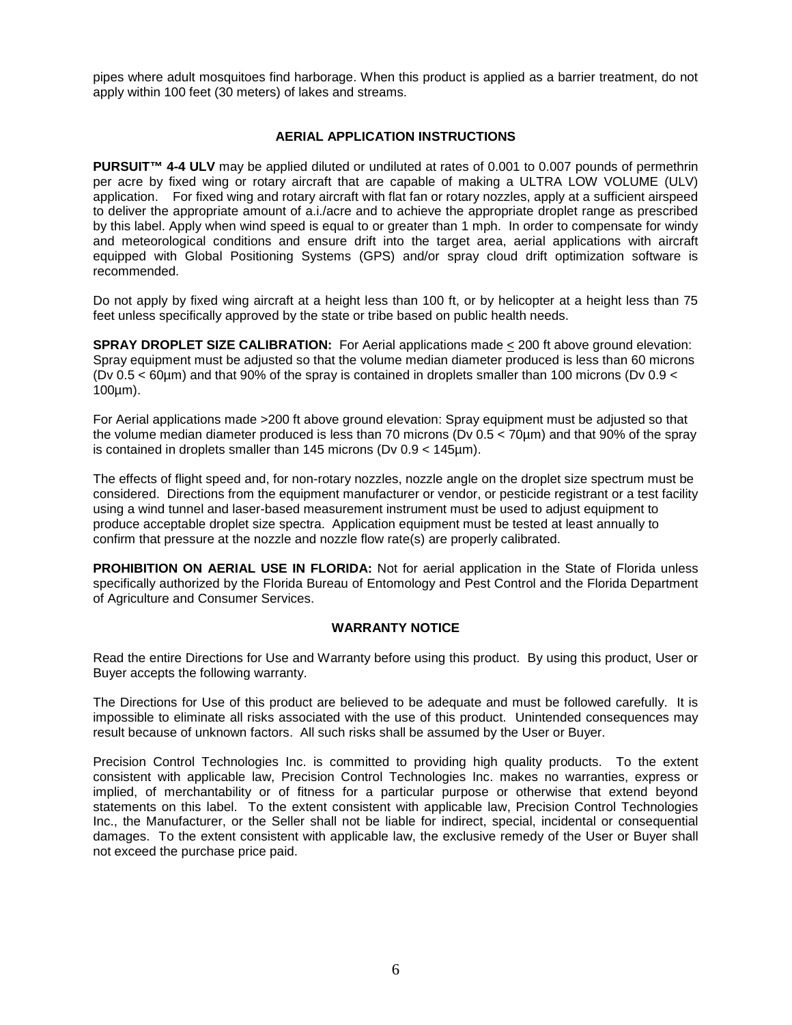pipes where adult mosquitoes find harborage. When this product is applied as a barrier treatment, do not apply within 100 feet (30 meters) of lakes and streams.

### **AERIAL APPLICATION INSTRUCTIONS**

**PURSUIT™ 4-4 ULV** may be applied diluted or undiluted at rates of 0.001 to 0.007 pounds of permethrin per acre by fixed wing or rotary aircraft that are capable of making a ULTRA LOW VOLUME (ULV) application. For fixed wing and rotary aircraft with flat fan or rotary nozzles, apply at a sufficient airspeed to deliver the appropriate amount of a.i./acre and to achieve the appropriate droplet range as prescribed by this label. Apply when wind speed is equal to or greater than 1 mph. In order to compensate for windy and meteorological conditions and ensure drift into the target area, aerial applications with aircraft equipped with Global Positioning Systems (GPS) and/or spray cloud drift optimization software is recommended.

Do not apply by fixed wing aircraft at a height less than 100 ft, or by helicopter at a height less than 75 feet unless specifically approved by the state or tribe based on public health needs.

**SPRAY DROPLET SIZE CALIBRATION:** For Aerial applications made  $\leq$  200 ft above ground elevation: Spray equipment must be adjusted so that the volume median diameter produced is less than 60 microns (Dv 0.5 < 60µm) and that 90% of the spray is contained in droplets smaller than 100 microns (Dv 0.9 < 100µm).

For Aerial applications made >200 ft above ground elevation: Spray equipment must be adjusted so that the volume median diameter produced is less than 70 microns (Dv 0.5 < 70µm) and that 90% of the spray is contained in droplets smaller than 145 microns (Dv 0.9 < 145µm).

The effects of flight speed and, for non-rotary nozzles, nozzle angle on the droplet size spectrum must be considered. Directions from the equipment manufacturer or vendor, or pesticide registrant or a test facility using a wind tunnel and laser-based measurement instrument must be used to adjust equipment to produce acceptable droplet size spectra. Application equipment must be tested at least annually to confirm that pressure at the nozzle and nozzle flow rate(s) are properly calibrated.

**PROHIBITION ON AERIAL USE IN FLORIDA:** Not for aerial application in the State of Florida unless specifically authorized by the Florida Bureau of Entomology and Pest Control and the Florida Department of Agriculture and Consumer Services.

#### **WARRANTY NOTICE**

Read the entire Directions for Use and Warranty before using this product. By using this product, User or Buyer accepts the following warranty.

The Directions for Use of this product are believed to be adequate and must be followed carefully. It is impossible to eliminate all risks associated with the use of this product. Unintended consequences may result because of unknown factors. All such risks shall be assumed by the User or Buyer.

Precision Control Technologies Inc. is committed to providing high quality products. To the extent consistent with applicable law, Precision Control Technologies Inc. makes no warranties, express or implied, of merchantability or of fitness for a particular purpose or otherwise that extend beyond statements on this label. To the extent consistent with applicable law, Precision Control Technologies Inc., the Manufacturer, or the Seller shall not be liable for indirect, special, incidental or consequential damages. To the extent consistent with applicable law, the exclusive remedy of the User or Buyer shall not exceed the purchase price paid.